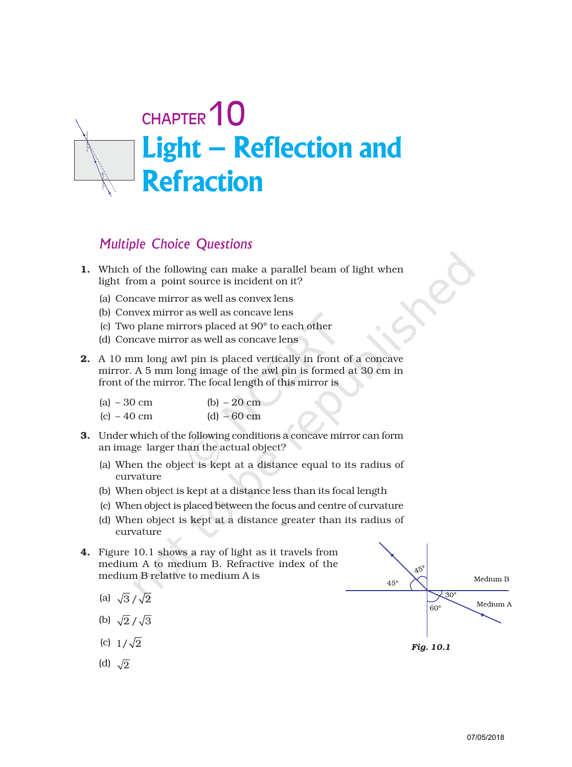# Light – Reflection and Refraction CHAPTER<sup>10</sup>

## Multiple Choice Questions

- 1. Which of the following can make a parallel beam of light when light from a point source is incident on it?
	- (a) Concave mirror as well as convex lens
	- (b) Convex mirror as well as concave lens
	- (c) Two plane mirrors placed at 90° to each other
	- (d) Concave mirror as well as concave lens
- 2. A 10 mm long awl pin is placed vertically in front of a concave mirror. A 5 mm long image of the awl pin is formed at 30 cm in front of the mirror. The focal length of this mirror is

| (a) $-30 \text{ cm}$ | (b) $-20 \text{ cm}$ |
|----------------------|----------------------|
| $(c) - 40$ cm        | $(d) - 60$ cm        |

- 3. Under which of the following conditions a concave mirror can form an image larger than the actual object?
	- (a) When the object is kept at a distance equal to its radius of curvature
	- (b) When object is kept at a distance less than its focal length
	- (c) When object is placed between the focus and centre of curvature
	- (d) When object is kept at a distance greater than its radius of curvature
- 4. Figure 10.1 shows a ray of light as it travels from medium A to medium B. Refractive index of the medium B relative to medium A is
	- (a)  $\sqrt{3}/\sqrt{2}$
	- (b)  $\sqrt{2}/\sqrt{3}$
	- (c)  $1/\sqrt{2}$
	- (d)  $\sqrt{2}$

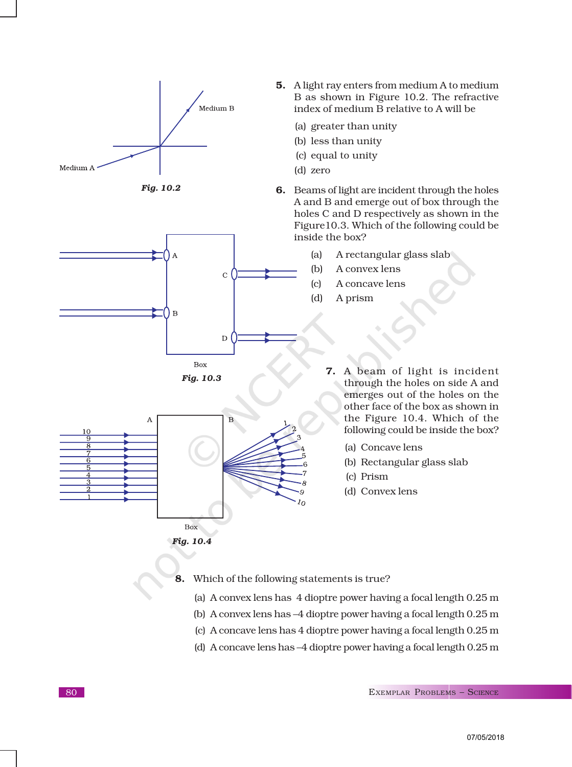





*Fig. 10.3*



*Fig. 10.4*

- 5. A light ray enters from medium A to medium B as shown in Figure 10.2. The refractive index of medium B relative to A will be
	- (a) greater than unity
	- (b) less than unity
	- (c) equal to unity
	- (d) zero
- 6. Beams of light are incident through the holes A and B and emerge out of box through the holes C and D respectively as shown in the Figure10.3. Which of the following could be inside the box?
	- (a) A rectangular glass slab
	- (b) A convex lens
	- (c) A concave lens
	- (d) A prism

7. A beam of light is incident through the holes on side A and emerges out of the holes on the other face of the box as shown in the Figure 10.4. Which of the following could be inside the box?

- (a) Concave lens
- (b) Rectangular glass slab
- (c) Prism
- (d) Convex lens

#### 8. Which of the following statements is true?

- (a) A convex lens has 4 dioptre power having a focal length 0.25 m
- (b) A convex lens has –4 dioptre power having a focal length 0.25 m
- (c) A concave lens has 4 dioptre power having a focal length 0.25 m
- (d) A concave lens has –4 dioptre power having a focal length 0.25 m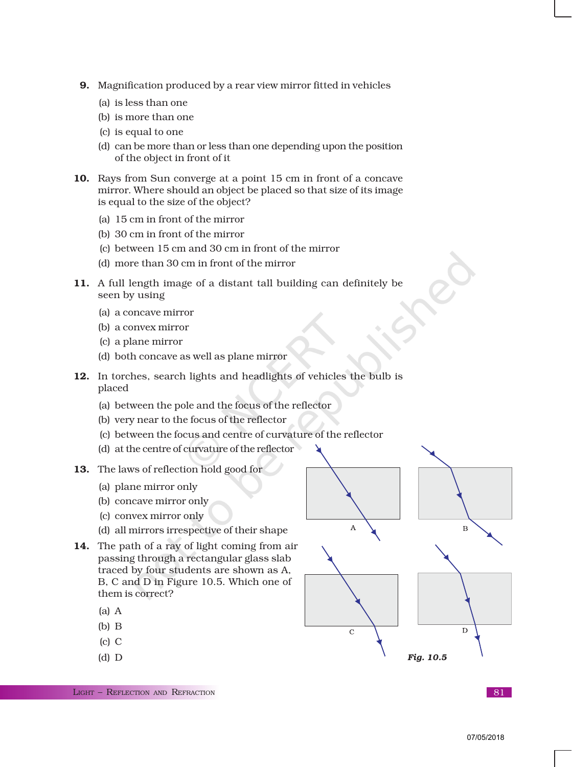- 9. Magnification produced by a rear view mirror fitted in vehicles
	- (a) is less than one
	- (b) is more than one
	- (c) is equal to one
	- (d) can be more than or less than one depending upon the position of the object in front of it
- 10. Rays from Sun converge at a point 15 cm in front of a concave mirror. Where should an object be placed so that size of its image is equal to the size of the object?
	- (a) 15 cm in front of the mirror
	- (b) 30 cm in front of the mirror
	- (c) between 15 cm and 30 cm in front of the mirror
	- (d) more than 30 cm in front of the mirror
- 11. A full length image of a distant tall building can definitely be seen by using
	- (a) a concave mirror
	- (b) a convex mirror
	- (c) a plane mirror
	- (d) both concave as well as plane mirror
- 12. In torches, search lights and headlights of vehicles the bulb is placed
	- (a) between the pole and the focus of the reflector
	- (b) very near to the focus of the reflector
	- (c) between the focus and centre of curvature of the reflector
	- (d) at the centre of curvature of the reflector
- 13. The laws of reflection hold good for
	- (a) plane mirror only
	- (b) concave mirror only
	- (c) convex mirror only
	- (d) all mirrors irrespective of their shape
- 14. The path of a ray of light coming from air passing through a rectangular glass slab traced by four students are shown as A, B, C and D in Figure 10.5. Which one of them is correct?
	- (a) A
	- (b) B
	- (c) C
	- (d) D



LIGHT – REFLECTION AND REFRACTION **81**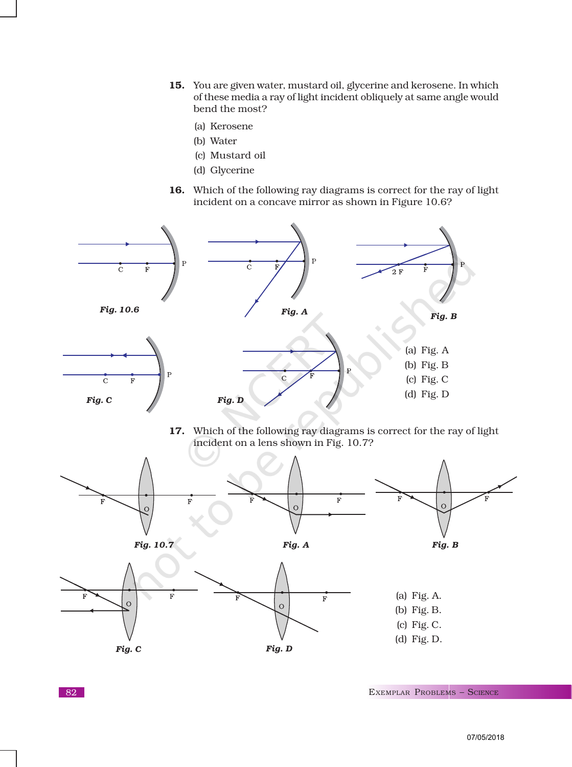- 15. You are given water, mustard oil, glycerine and kerosene. In which of these media a ray of light incident obliquely at same angle would bend the most?
	- (a) Kerosene
	- (b) Water
	- (c) Mustard oil
	- (d) Glycerine
- 16. Which of the following ray diagrams is correct for the ray of light incident on a concave mirror as shown in Figure 10.6?



17. Which of the following ray diagrams is correct for the ray of light incident on a lens shown in Fig. 10.7?

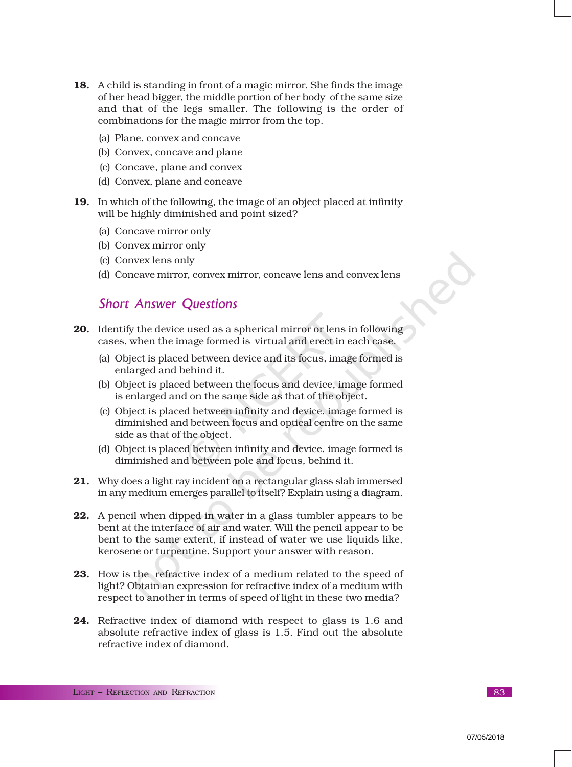- 18. A child is standing in front of a magic mirror. She finds the image of her head bigger, the middle portion of her body of the same size and that of the legs smaller. The following is the order of combinations for the magic mirror from the top.
	- (a) Plane, convex and concave
	- (b) Convex, concave and plane
	- (c) Concave, plane and convex
	- (d) Convex, plane and concave
- 19. In which of the following, the image of an object placed at infinity will be highly diminished and point sized?
	- (a) Concave mirror only
	- (b) Convex mirror only
	- (c) Convex lens only
	- (d) Concave mirror, convex mirror, concave lens and convex lens

### Short Answer Questions

- 20. Identify the device used as a spherical mirror or lens in following cases, when the image formed is virtual and erect in each case.
	- (a) Object is placed between device and its focus, image formed is enlarged and behind it.
	- (b) Object is placed between the focus and device, image formed is enlarged and on the same side as that of the object.
	- (c) Object is placed between infinity and device, image formed is diminished and between focus and optical centre on the same side as that of the object.
	- (d) Object is placed between infinity and device, image formed is diminished and between pole and focus, behind it.
- 21. Why does a light ray incident on a rectangular glass slab immersed in any medium emerges parallel to itself? Explain using a diagram.
- 22. A pencil when dipped in water in a glass tumbler appears to be bent at the interface of air and water. Will the pencil appear to be bent to the same extent, if instead of water we use liquids like, kerosene or turpentine. Support your answer with reason.
- 23. How is the refractive index of a medium related to the speed of light? Obtain an expression for refractive index of a medium with respect to another in terms of speed of light in these two media?
- 24. Refractive index of diamond with respect to glass is 1.6 and absolute refractive index of glass is 1.5. Find out the absolute refractive index of diamond.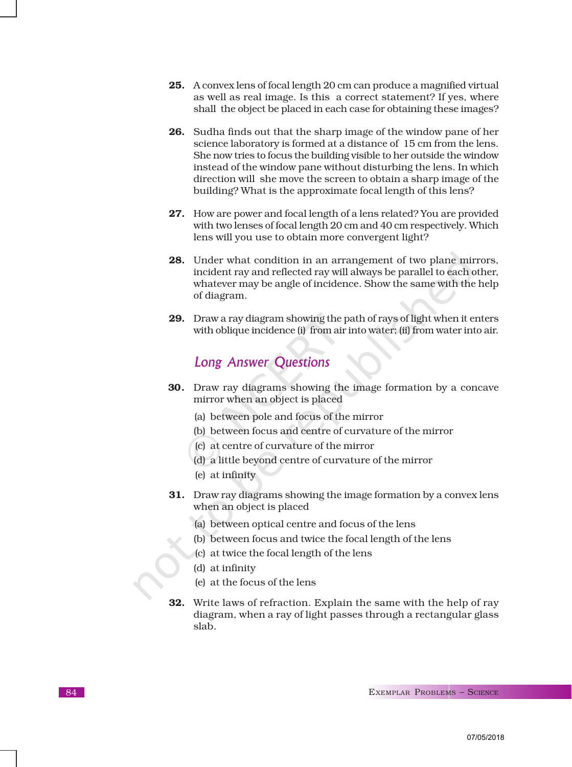- 25. A convex lens of focal length 20 cm can produce a magnified virtual as well as real image. Is this a correct statement? If yes, where shall the object be placed in each case for obtaining these images?
- 26. Sudha finds out that the sharp image of the window pane of her science laboratory is formed at a distance of 15 cm from the lens. She now tries to focus the building visible to her outside the window instead of the window pane without disturbing the lens. In which direction will she move the screen to obtain a sharp image of the building? What is the approximate focal length of this lens?
- 27. How are power and focal length of a lens related? You are provided with two lenses of focal length 20 cm and 40 cm respectively. Which lens will you use to obtain more convergent light?
- 28. Under what condition in an arrangement of two plane mirrors, incident ray and reflected ray will always be parallel to each other, whatever may be angle of incidence. Show the same with the help of diagram.
- 29. Draw a ray diagram showing the path of rays of light when it enters with oblique incidence (i) from air into water; (ii) from water into air.

## Long Answer Questions

- 30. Draw ray diagrams showing the image formation by a concave mirror when an object is placed
	- (a) between pole and focus of the mirror
	- (b) between focus and centre of curvature of the mirror
	- (c) at centre of curvature of the mirror
	- (d) a little beyond centre of curvature of the mirror
	- (e) at infinity
- 31. Draw ray diagrams showing the image formation by a convex lens when an object is placed
	- (a) between optical centre and focus of the lens
	- (b) between focus and twice the focal length of the lens
	- (c) at twice the focal length of the lens
	- (d) at infinity
	- (e) at the focus of the lens
- 32. Write laws of refraction. Explain the same with the help of ray diagram, when a ray of light passes through a rectangular glass slab.